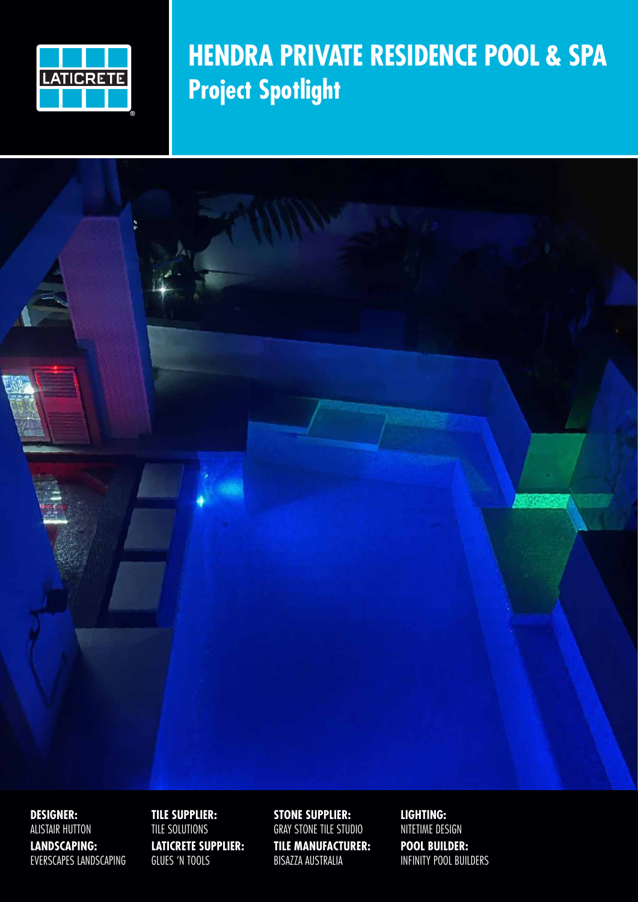

#### **HENDRA PRIVATE RESIDENCE POOL & SPA Project Spotlight**

**DESIGNER:**  ALISTAIR HUTTON **LANDSCAPING:** EVERSCAPES LANDSCAPING

**TILE SUPPLIER:**  TILE SOLUTIONS **LATICRETE SUPPLIER:**  GLUES 'N TOOLS

**STONE SUPPLIER:** GRAY STONE TILE STUDIO **TILE MANUFACTURER:** BISAZZA AUSTRALIA

**LIGHTING:** NITETIME DESIGN **POOL BUILDER:**  INFINITY POOL BUILDERS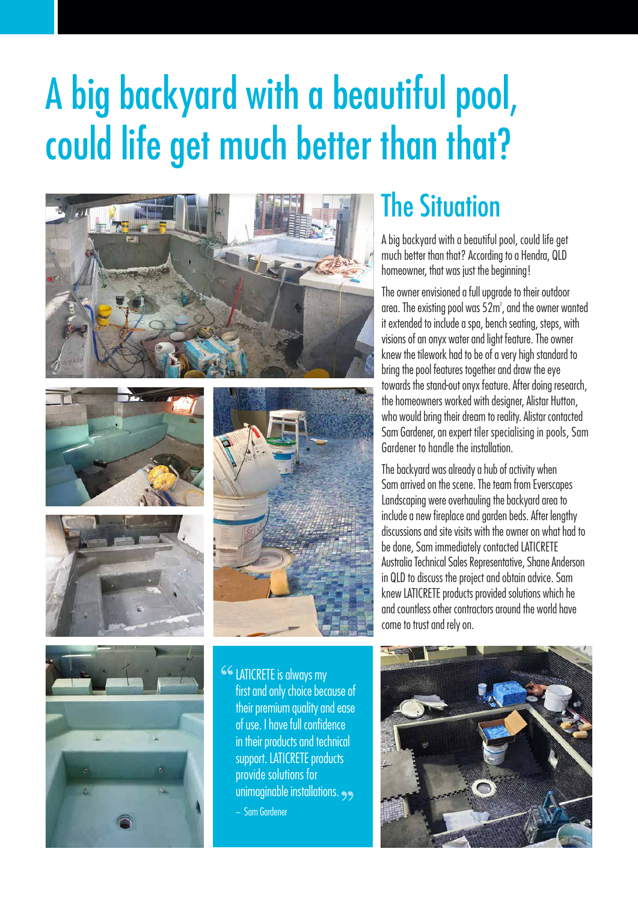# A big backyard with a beautiful pool, could life get much better than that?











**CC LATICRETE is always my** first and only choice because of their premium quality and ease of use. I have full confidence in their products and technical support. LATICRETE products provide solutions for unimaginable installations. ~ Sam Gardener

#### The Situation

A big backyard with a beautiful pool, could life get much better than that? According to a Hendra, QLD homeowner, that was just the beginning!

The owner envisioned a full upgrade to their outdoor area. The existing pool was 52m² , and the owner wanted it extended to include a spa, bench seating, steps, with visions of an onyx water and light feature. The owner knew the tilework had to be of a very high standard to bring the pool features together and draw the eye towards the stand-out onyx feature. After doing research, the homeowners worked with designer, Alistar Hutton, who would bring their dream to reality. Alistar contacted Sam Gardener, an expert tiler specialising in pools, Sam Gardener to handle the installation.

The backyard was already a hub of activity when Sam arrived on the scene. The team from Everscapes Landscaping were overhauling the backyard area to include a new fireplace and garden beds. After lengthy discussions and site visits with the owner on what had to be done, Sam immediately contacted LATICRETE Australia Technical Sales Representative, Shane Anderson in QLD to discuss the project and obtain advice. Sam knew LATICRETE products provided solutions which he and countless other contractors around the world have come to trust and rely on.

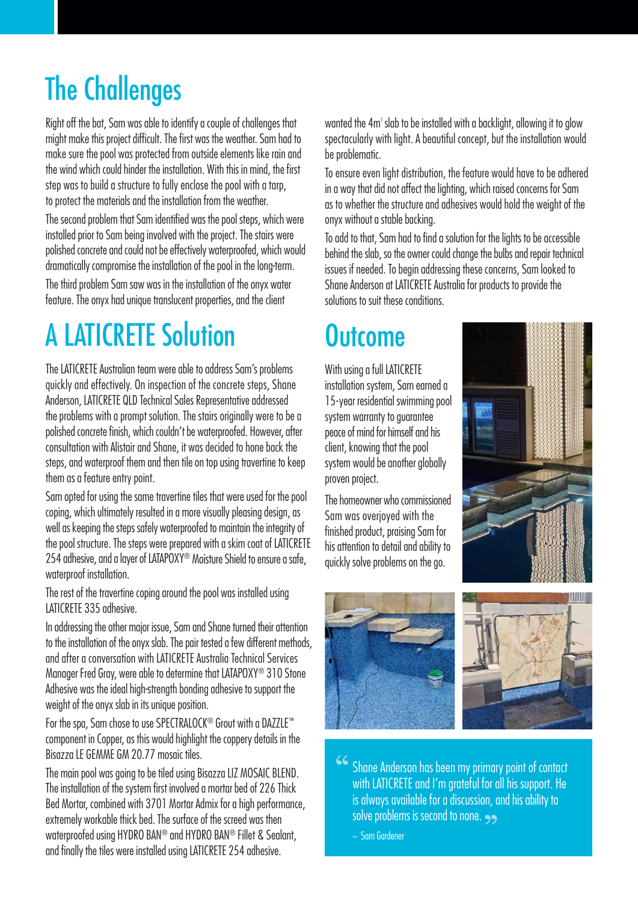## The Challenges

Right off the bat, Sam was able to identify a couple of challenges that might make this project difficult. The first was the weather. Sam had to make sure the pool was protected from outside elements like rain and the wind which could hinder the installation. With this in mind, the first step was to build a structure to fully enclose the pool with a tarp, to protect the materials and the installation from the weather.

The second problem that Sam identified was the pool steps, which were installed prior to Sam being involved with the project. The stairs were polished concrete and could not be effectively waterproofed, which would dramatically compromise the installation of the pool in the long-term.

The third problem Sam saw was in the installation of the onyx water feature. The onyx had unique translucent properties, and the client

## A LATICRETE Solution

The LATICRETE Australian team were able to address Sam's problems quickly and effectively. On inspection of the concrete steps, Shane Anderson, LATICRETE QLD Technical Sales Representative addressed the problems with a prompt solution. The stairs originally were to be a polished concrete finish, which couldn't be waterproofed. However, after consultation with Alistair and Shane, it was decided to hone back the steps, and waterproof them and then tile on top using travertine to keep them as a feature entry point.

Sam opted for using the same travertine tiles that were used for the pool coping, which ultimately resulted in a more visually pleasing design, as well as keeping the steps safely waterproofed to maintain the integrity of the pool structure. The steps were prepared with a skim coat of LATICRETE 254 adhesive, and a layer of LATAPOXY<sup>®</sup> Moisture Shield to ensure a safe, waterproof installation.

The rest of the travertine coping around the pool was installed using LATICRETE 335 adhesive.

In addressing the other major issue, Sam and Shane turned their attention to the installation of the onyx slab. The pair tested a few different methods, and after a conversation with LATICRETE Australia Technical Services Manager Fred Gray, were able to determine that LATAPOXY® 310 Stone Adhesive was the ideal high-strength bonding adhesive to support the weight of the onyx slab in its unique position.

For the spa, Sam chose to use SPECTRALOCK® Grout with a DAZZLE™ component in Copper, as this would highlight the coppery details in the Bisazza LE GEMME GM 20.77 mosaic tiles.

The main pool was going to be tiled using Bisazza LIZ MOSAIC BLEND. The installation of the system first involved a mortar bed of 226 Thick Bed Mortar, combined with 3701 Mortar Admix for a high performance, extremely workable thick bed. The surface of the screed was then waterproofed using HYDRO BAN® and HYDRO BAN® Fillet & Sealant, and finally the tiles were installed using LATICRETE 254 adhesive.

wanted the 4m² slab to be installed with a backlight, allowing it to glow spectacularly with light. A beautiful concept, but the installation would be problematic.

To ensure even light distribution, the feature would have to be adhered in a way that did not affect the lighting, which raised concerns for Sam as to whether the structure and adhesives would hold the weight of the onyx without a stable backing.

To add to that, Sam had to find a solution for the lights to be accessible behind the slab, so the owner could change the bulbs and repair technical issues if needed. To begin addressing these concerns, Sam looked to Shane Anderson at LATICRETE Australia for products to provide the solutions to suit these conditions.

### **Outcome**

With using a full LATICRETE

installation system, Sam earned a 15-year residential swimming pool system warranty to guarantee peace of mind for himself and his client, knowing that the pool system would be another globally proven project.

The homeowner who commissioned Sam was overjoyed with the finished product, praising Sam for his attention to detail and ability to quickly solve problems on the go.





 $66$ Shane Anderson has been my primary point of contact with LATICRETE and I'm grateful for all his support. He is always available for a discussion, and his ability to solve problems is second to none.

~ Sam Gardener